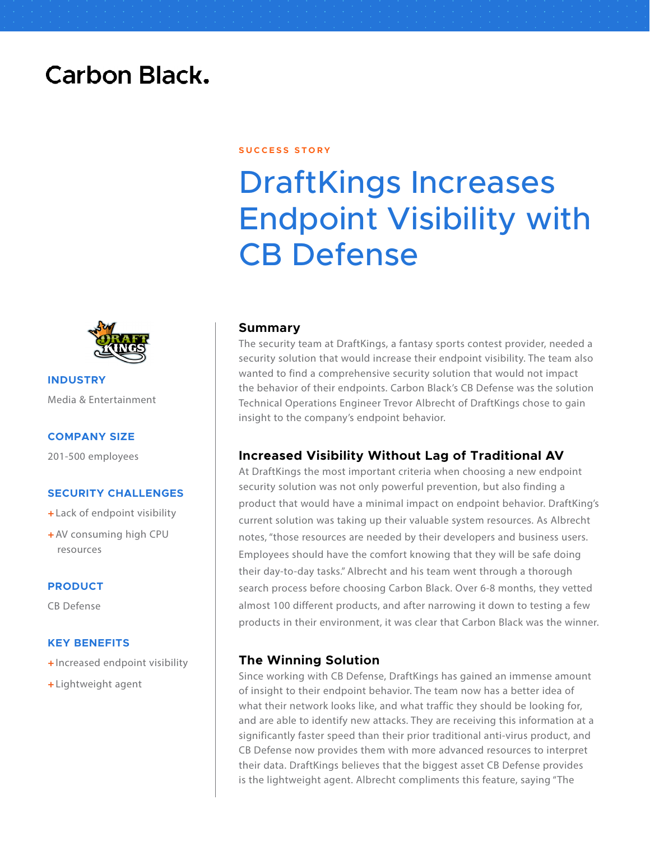## **Carbon Black.**

#### **S U C C E S S S T O R Y**

# DraftKings Increases Endpoint Visibility with CB Defense



**INDUSTRY** Media & Entertainment

#### **COMPANY SIZE**

201-500 employees

#### **SECURITY CHALLENGES**

- + Lack of endpoint visibility
- + AV consuming high CPU resources

#### **PRODUCT**

CB Defense

#### **KEY BENEFITS**

- + Increased endpoint visibility
- + Lightweight agent

#### **Summary**

The security team at DraftKings, a fantasy sports contest provider, needed a security solution that would increase their endpoint visibility. The team also wanted to find a comprehensive security solution that would not impact the behavior of their endpoints. Carbon Black's CB Defense was the solution Technical Operations Engineer Trevor Albrecht of DraftKings chose to gain insight to the company's endpoint behavior.

#### **Increased Visibility Without Lag of Traditional AV**

At DraftKings the most important criteria when choosing a new endpoint security solution was not only powerful prevention, but also finding a product that would have a minimal impact on endpoint behavior. DraftKing's current solution was taking up their valuable system resources. As Albrecht notes, "those resources are needed by their developers and business users. Employees should have the comfort knowing that they will be safe doing their day-to-day tasks." Albrecht and his team went through a thorough search process before choosing Carbon Black. Over 6-8 months, they vetted almost 100 different products, and after narrowing it down to testing a few products in their environment, it was clear that Carbon Black was the winner.

#### **The Winning Solution**

Since working with CB Defense, DraftKings has gained an immense amount of insight to their endpoint behavior. The team now has a better idea of what their network looks like, and what traffic they should be looking for, and are able to identify new attacks. They are receiving this information at a significantly faster speed than their prior traditional anti-virus product, and CB Defense now provides them with more advanced resources to interpret their data. DraftKings believes that the biggest asset CB Defense provides is the lightweight agent. Albrecht compliments this feature, saying "The